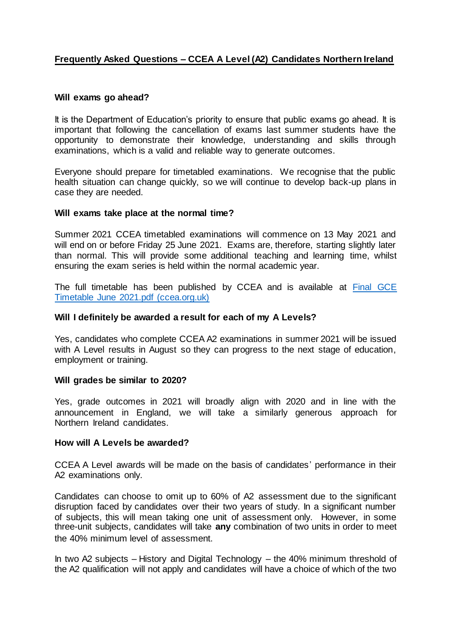# **Frequently Asked Questions – CCEA A Level (A2) Candidates Northern Ireland**

### **Will exams go ahead?**

It is the Department of Education's priority to ensure that public exams go ahead. It is important that following the cancellation of exams last summer students have the opportunity to demonstrate their knowledge, understanding and skills through examinations, which is a valid and reliable way to generate outcomes.

Everyone should prepare for timetabled examinations. We recognise that the public health situation can change quickly, so we will continue to develop back-up plans in case they are needed.

## **Will exams take place at the normal time?**

Summer 2021 CCEA timetabled examinations will commence on 13 May 2021 and will end on or before Friday 25 June 2021. Exams are, therefore, starting slightly later than normal. This will provide some additional teaching and learning time, whilst ensuring the exam series is held within the normal academic year.

The full timetable has been published by CCEA and is available at [Final GCE](https://ccea.org.uk/downloads/docs/ccea-asset/Curriculum/Final%20GCSE%20Timetable%20June%202021.pdf)  [Timetable June 2021.pdf \(ccea.org.uk\)](https://ccea.org.uk/downloads/docs/ccea-asset/Curriculum/Final%20GCSE%20Timetable%20June%202021.pdf)

## **Will I definitely be awarded a result for each of my A Levels?**

Yes, candidates who complete CCEA A2 examinations in summer 2021 will be issued with A Level results in August so they can progress to the next stage of education, employment or training.

### **Will grades be similar to 2020?**

Yes, grade outcomes in 2021 will broadly align with 2020 and in line with the announcement in England, we will take a similarly generous approach for Northern Ireland candidates.

### **How will A Levels be awarded?**

CCEA A Level awards will be made on the basis of candidates' performance in their A2 examinations only.

Candidates can choose to omit up to 60% of A2 assessment due to the significant disruption faced by candidates over their two years of study. In a significant number of subjects, this will mean taking one unit of assessment only. However, in some three-unit subjects, candidates will take **any** combination of two units in order to meet the 40% minimum level of assessment.

In two A2 subjects – History and Digital Technology – the 40% minimum threshold of the A2 qualification will not apply and candidates will have a choice of which of the two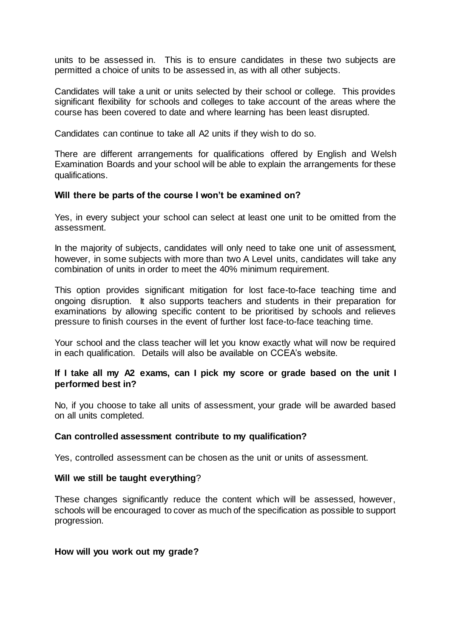units to be assessed in. This is to ensure candidates in these two subjects are permitted a choice of units to be assessed in, as with all other subjects.

Candidates will take a unit or units selected by their school or college. This provides significant flexibility for schools and colleges to take account of the areas where the course has been covered to date and where learning has been least disrupted.

Candidates can continue to take all A2 units if they wish to do so.

There are different arrangements for qualifications offered by English and Welsh Examination Boards and your school will be able to explain the arrangements for these qualifications.

### **Will there be parts of the course I won't be examined on?**

Yes, in every subject your school can select at least one unit to be omitted from the assessment.

In the majority of subjects, candidates will only need to take one unit of assessment, however, in some subjects with more than two A Level units, candidates will take any combination of units in order to meet the 40% minimum requirement.

This option provides significant mitigation for lost face-to-face teaching time and ongoing disruption. It also supports teachers and students in their preparation for examinations by allowing specific content to be prioritised by schools and relieves pressure to finish courses in the event of further lost face-to-face teaching time.

Your school and the class teacher will let you know exactly what will now be required in each qualification. Details will also be available on CCEA's website.

# **If I take all my A2 exams, can I pick my score or grade based on the unit I performed best in?**

No, if you choose to take all units of assessment, your grade will be awarded based on all units completed.

### **Can controlled assessment contribute to my qualification?**

Yes, controlled assessment can be chosen as the unit or units of assessment.

### **Will we still be taught everything**?

These changes significantly reduce the content which will be assessed, however, schools will be encouraged to cover as much of the specification as possible to support progression.

### **How will you work out my grade?**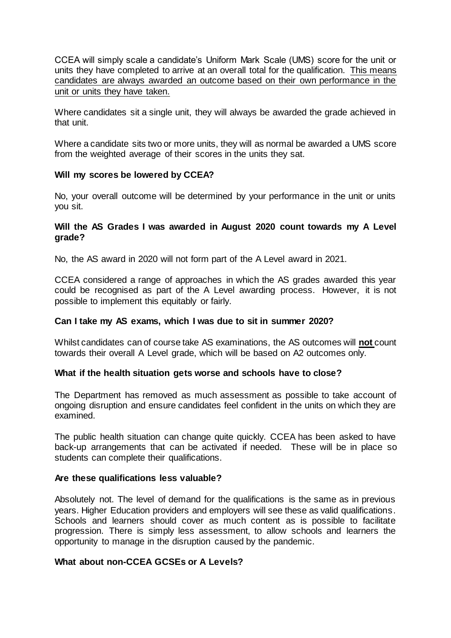CCEA will simply scale a candidate's Uniform Mark Scale (UMS) score for the unit or units they have completed to arrive at an overall total for the qualification. This means candidates are always awarded an outcome based on their own performance in the unit or units they have taken.

Where candidates sit a single unit, they will always be awarded the grade achieved in that unit.

Where a candidate sits two or more units, they will as normal be awarded a UMS score from the weighted average of their scores in the units they sat.

## **Will my scores be lowered by CCEA?**

No, your overall outcome will be determined by your performance in the unit or units you sit.

## **Will the AS Grades I was awarded in August 2020 count towards my A Level grade?**

No, the AS award in 2020 will not form part of the A Level award in 2021.

CCEA considered a range of approaches in which the AS grades awarded this year could be recognised as part of the A Level awarding process. However, it is not possible to implement this equitably or fairly.

### **Can I take my AS exams, which I was due to sit in summer 2020?**

Whilst candidates can of course take AS examinations, the AS outcomes will **not** count towards their overall A Level grade, which will be based on A2 outcomes only.

### **What if the health situation gets worse and schools have to close?**

The Department has removed as much assessment as possible to take account of ongoing disruption and ensure candidates feel confident in the units on which they are examined.

The public health situation can change quite quickly. CCEA has been asked to have back-up arrangements that can be activated if needed. These will be in place so students can complete their qualifications.

### **Are these qualifications less valuable?**

Absolutely not. The level of demand for the qualifications is the same as in previous years. Higher Education providers and employers will see these as valid qualifications. Schools and learners should cover as much content as is possible to facilitate progression. There is simply less assessment, to allow schools and learners the opportunity to manage in the disruption caused by the pandemic.

### **What about non-CCEA GCSEs or A Levels?**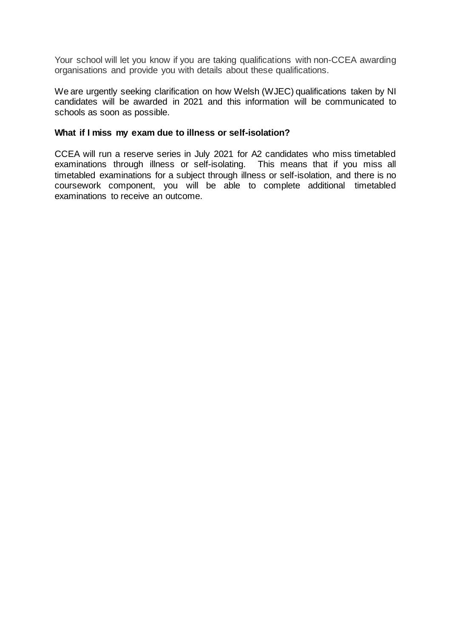Your school will let you know if you are taking qualifications with non-CCEA awarding organisations and provide you with details about these qualifications.

We are urgently seeking clarification on how Welsh (WJEC) qualifications taken by NI candidates will be awarded in 2021 and this information will be communicated to schools as soon as possible.

### **What if I miss my exam due to illness or self-isolation?**

CCEA will run a reserve series in July 2021 for A2 candidates who miss timetabled examinations through illness or self-isolating. This means that if you miss all timetabled examinations for a subject through illness or self-isolation, and there is no coursework component, you will be able to complete additional timetabled examinations to receive an outcome.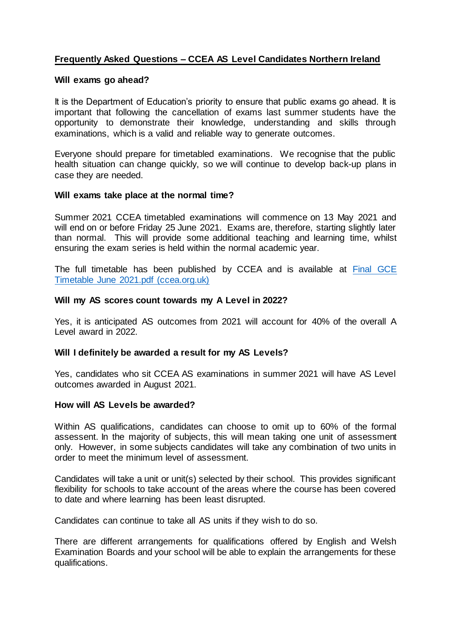# **Frequently Asked Questions – CCEA AS Level Candidates Northern Ireland**

## **Will exams go ahead?**

It is the Department of Education's priority to ensure that public exams go ahead. It is important that following the cancellation of exams last summer students have the opportunity to demonstrate their knowledge, understanding and skills through examinations, which is a valid and reliable way to generate outcomes.

Everyone should prepare for timetabled examinations. We recognise that the public health situation can change quickly, so we will continue to develop back-up plans in case they are needed.

## **Will exams take place at the normal time?**

Summer 2021 CCEA timetabled examinations will commence on 13 May 2021 and will end on or before Friday 25 June 2021. Exams are, therefore, starting slightly later than normal. This will provide some additional teaching and learning time, whilst ensuring the exam series is held within the normal academic year.

The full timetable has been published by CCEA and is available at [Final GCE](https://ccea.org.uk/downloads/docs/ccea-asset/Curriculum/Final%20GCSE%20Timetable%20June%202021.pdf)  [Timetable June 2021.pdf \(ccea.org.uk\)](https://ccea.org.uk/downloads/docs/ccea-asset/Curriculum/Final%20GCSE%20Timetable%20June%202021.pdf)

## **Will my AS scores count towards my A Level in 2022?**

Yes, it is anticipated AS outcomes from 2021 will account for 40% of the overall A Level award in 2022.

### **Will I definitely be awarded a result for my AS Levels?**

Yes, candidates who sit CCEA AS examinations in summer 2021 will have AS Level outcomes awarded in August 2021.

### **How will AS Levels be awarded?**

Within AS qualifications, candidates can choose to omit up to 60% of the formal assessent. In the majority of subjects, this will mean taking one unit of assessment only. However, in some subjects candidates will take any combination of two units in order to meet the minimum level of assessment.

Candidates will take a unit or unit(s) selected by their school. This provides significant flexibility for schools to take account of the areas where the course has been covered to date and where learning has been least disrupted.

Candidates can continue to take all AS units if they wish to do so.

There are different arrangements for qualifications offered by English and Welsh Examination Boards and your school will be able to explain the arrangements for these qualifications.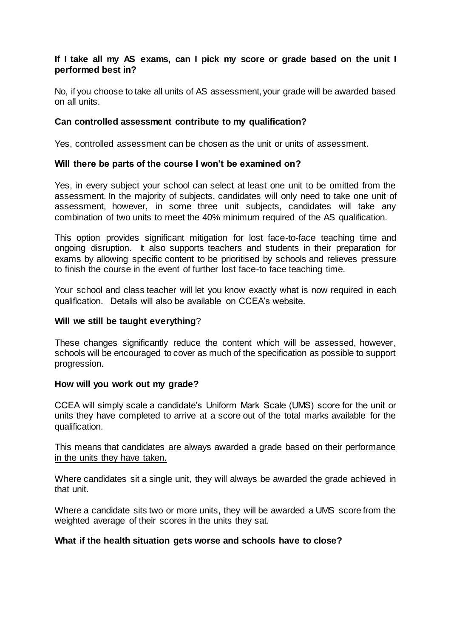# **If I take all my AS exams, can I pick my score or grade based on the unit I performed best in?**

No, if you choose to take all units of AS assessment, your grade will be awarded based on all units.

# **Can controlled assessment contribute to my qualification?**

Yes, controlled assessment can be chosen as the unit or units of assessment.

## **Will there be parts of the course I won't be examined on?**

Yes, in every subject your school can select at least one unit to be omitted from the assessment. In the majority of subjects, candidates will only need to take one unit of assessment, however, in some three unit subjects, candidates will take any combination of two units to meet the 40% minimum required of the AS qualification.

This option provides significant mitigation for lost face-to-face teaching time and ongoing disruption. It also supports teachers and students in their preparation for exams by allowing specific content to be prioritised by schools and relieves pressure to finish the course in the event of further lost face-to face teaching time.

Your school and class teacher will let you know exactly what is now required in each qualification. Details will also be available on CCEA's website.

### **Will we still be taught everything**?

These changes significantly reduce the content which will be assessed, however, schools will be encouraged to cover as much of the specification as possible to support progression.

# **How will you work out my grade?**

CCEA will simply scale a candidate's Uniform Mark Scale (UMS) score for the unit or units they have completed to arrive at a score out of the total marks available for the qualification.

## This means that candidates are always awarded a grade based on their performance in the units they have taken.

Where candidates sit a single unit, they will always be awarded the grade achieved in that unit.

Where a candidate sits two or more units, they will be awarded a UMS score from the weighted average of their scores in the units they sat.

### **What if the health situation gets worse and schools have to close?**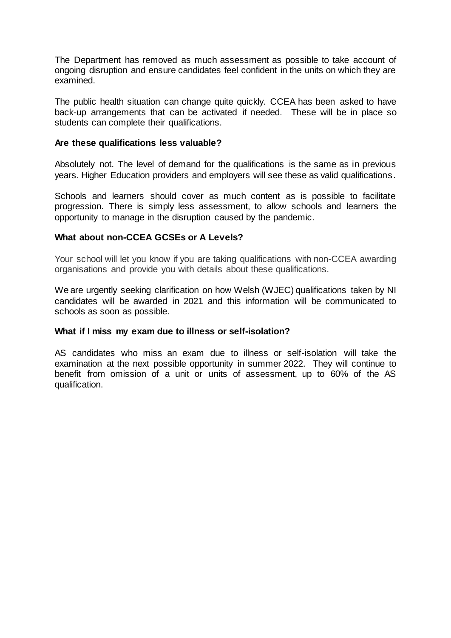The Department has removed as much assessment as possible to take account of ongoing disruption and ensure candidates feel confident in the units on which they are examined.

The public health situation can change quite quickly. CCEA has been asked to have back-up arrangements that can be activated if needed. These will be in place so students can complete their qualifications.

### **Are these qualifications less valuable?**

Absolutely not. The level of demand for the qualifications is the same as in previous years. Higher Education providers and employers will see these as valid qualifications.

Schools and learners should cover as much content as is possible to facilitate progression. There is simply less assessment, to allow schools and learners the opportunity to manage in the disruption caused by the pandemic.

# **What about non-CCEA GCSEs or A Levels?**

Your school will let you know if you are taking qualifications with non-CCEA awarding organisations and provide you with details about these qualifications.

We are urgently seeking clarification on how Welsh (WJEC) qualifications taken by NI candidates will be awarded in 2021 and this information will be communicated to schools as soon as possible.

### **What if I miss my exam due to illness or self-isolation?**

AS candidates who miss an exam due to illness or self-isolation will take the examination at the next possible opportunity in summer 2022. They will continue to benefit from omission of a unit or units of assessment, up to 60% of the AS qualification.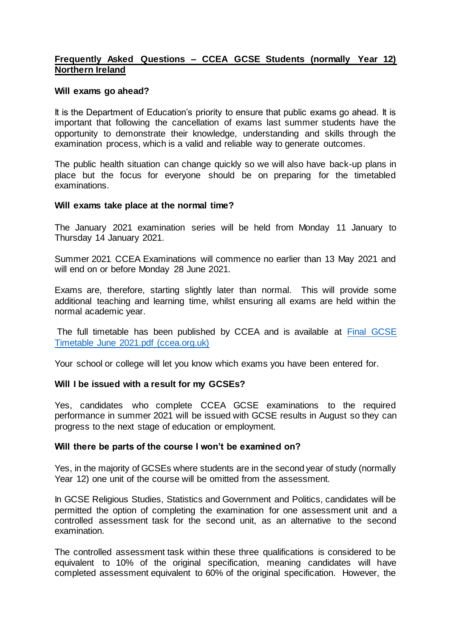# **Frequently Asked Questions – CCEA GCSE Students (normally Year 12) Northern Ireland**

#### **Will exams go ahead?**

It is the Department of Education's priority to ensure that public exams go ahead. It is important that following the cancellation of exams last summer students have the opportunity to demonstrate their knowledge, understanding and skills through the examination process, which is a valid and reliable way to generate outcomes.

The public health situation can change quickly so we will also have back-up plans in place but the focus for everyone should be on preparing for the timetabled examinations.

#### **Will exams take place at the normal time?**

The January 2021 examination series will be held from Monday 11 January to Thursday 14 January 2021.

Summer 2021 CCEA Examinations will commence no earlier than 13 May 2021 and will end on or before Monday 28 June 2021.

Exams are, therefore, starting slightly later than normal. This will provide some additional teaching and learning time, whilst ensuring all exams are held within the normal academic year.

The full timetable has been published by CCEA and is available at [Final GCSE](https://ccea.org.uk/downloads/docs/ccea-asset/Curriculum/Final%20GCSE%20Timetable%20June%202021.pdf)  [Timetable June 2021.pdf \(ccea.org.uk\)](https://ccea.org.uk/downloads/docs/ccea-asset/Curriculum/Final%20GCSE%20Timetable%20June%202021.pdf)

Your school or college will let you know which exams you have been entered for.

### **Will I be issued with a result for my GCSEs?**

Yes, candidates who complete CCEA GCSE examinations to the required performance in summer 2021 will be issued with GCSE results in August so they can progress to the next stage of education or employment.

### **Will there be parts of the course I won't be examined on?**

Yes, in the majority of GCSEs where students are in the second year of study (normally Year 12) one unit of the course will be omitted from the assessment.

In GCSE Religious Studies, Statistics and Government and Politics, candidates will be permitted the option of completing the examination for one assessment unit and a controlled assessment task for the second unit, as an alternative to the second examination.

The controlled assessment task within these three qualifications is considered to be equivalent to 10% of the original specification, meaning candidates will have completed assessment equivalent to 60% of the original specification. However, the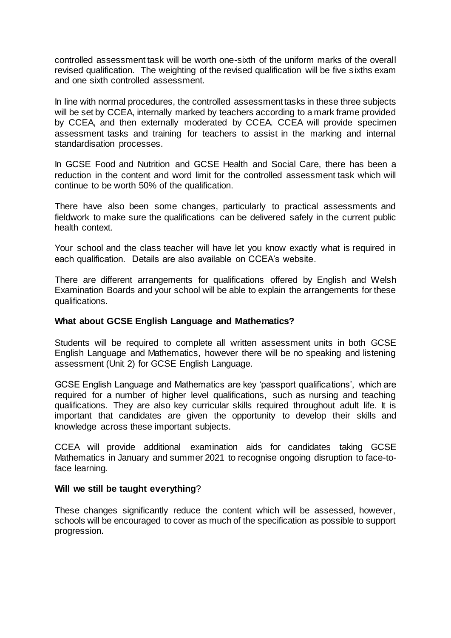controlled assessment task will be worth one-sixth of the uniform marks of the overall revised qualification. The weighting of the revised qualification will be five sixths exam and one sixth controlled assessment.

In line with normal procedures, the controlled assessment tasks in these three subjects will be set by CCEA, internally marked by teachers according to a mark frame provided by CCEA, and then externally moderated by CCEA. CCEA will provide specimen assessment tasks and training for teachers to assist in the marking and internal standardisation processes.

In GCSE Food and Nutrition and GCSE Health and Social Care, there has been a reduction in the content and word limit for the controlled assessment task which will continue to be worth 50% of the qualification.

There have also been some changes, particularly to practical assessments and fieldwork to make sure the qualifications can be delivered safely in the current public health context.

Your school and the class teacher will have let you know exactly what is required in each qualification. Details are also available on CCEA's website.

There are different arrangements for qualifications offered by English and Welsh Examination Boards and your school will be able to explain the arrangements for these qualifications.

# **What about GCSE English Language and Mathematics?**

Students will be required to complete all written assessment units in both GCSE English Language and Mathematics, however there will be no speaking and listening assessment (Unit 2) for GCSE English Language.

GCSE English Language and Mathematics are key 'passport qualifications', which are required for a number of higher level qualifications, such as nursing and teaching qualifications. They are also key curricular skills required throughout adult life. It is important that candidates are given the opportunity to develop their skills and knowledge across these important subjects.

CCEA will provide additional examination aids for candidates taking GCSE Mathematics in January and summer 2021 to recognise ongoing disruption to face-toface learning.

# **Will we still be taught everything**?

These changes significantly reduce the content which will be assessed, however, schools will be encouraged to cover as much of the specification as possible to support progression.